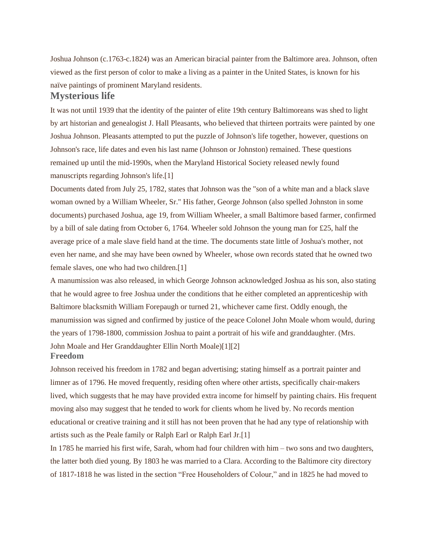Joshua Johnson (c.1763-c.1824) was an American biracial painter from the Baltimore area. Johnson, often viewed as the first person of color to make a living as a painter in the United States, is known for his naïve paintings of prominent Maryland residents. **Mysterious life**

It was not until 1939 that the identity of the painter of elite 19th century Baltimoreans was shed to light by art historian and genealogist J. Hall Pleasants, who believed that thirteen portraits were painted by one Joshua Johnson. Pleasants attempted to put the puzzle of Johnson's life together, however, questions on Johnson's race, life dates and even his last name (Johnson or Johnston) remained. These questions remained up until the mid-1990s, when the Maryland Historical Society released newly found manuscripts regarding Johnson's life.[1]

Documents dated from July 25, 1782, states that Johnson was the "son of a white man and a black slave woman owned by a William Wheeler, Sr." His father, George Johnson (also spelled Johnston in some documents) purchased Joshua, age 19, from William Wheeler, a small Baltimore based farmer, confirmed by a bill of sale dating from October 6, 1764. Wheeler sold Johnson the young man for £25, half the average price of a male slave field hand at the time. The documents state little of Joshua's mother, not even her name, and she may have been owned by Wheeler, whose own records stated that he owned two female slaves, one who had two children.[1]

A manumission was also released, in which George Johnson acknowledged Joshua as his son, also stating that he would agree to free Joshua under the conditions that he either completed an apprenticeship with Baltimore blacksmith William Forepaugh or turned 21, whichever came first. Oddly enough, the manumission was signed and confirmed by justice of the peace Colonel John Moale whom would, during the years of 1798-1800, commission Joshua to paint a portrait of his wife and granddaughter. (Mrs. John Moale and Her Granddaughter Ellin North Moale)[1][2] **Freedom**

Johnson received his freedom in 1782 and began advertising; stating himself as a portrait painter and limner as of 1796. He moved frequently, residing often where other artists, specifically chair-makers lived, which suggests that he may have provided extra income for himself by painting chairs. His frequent moving also may suggest that he tended to work for clients whom he lived by. No records mention educational or creative training and it still has not been proven that he had any type of relationship with artists such as the Peale family or Ralph Earl or Ralph Earl Jr.[1]

In 1785 he married his first wife, Sarah, whom had four children with him – two sons and two daughters, the latter both died young. By 1803 he was married to a Clara. According to the Baltimore city directory of 1817-1818 he was listed in the section "Free Householders of Colour," and in 1825 he had moved to